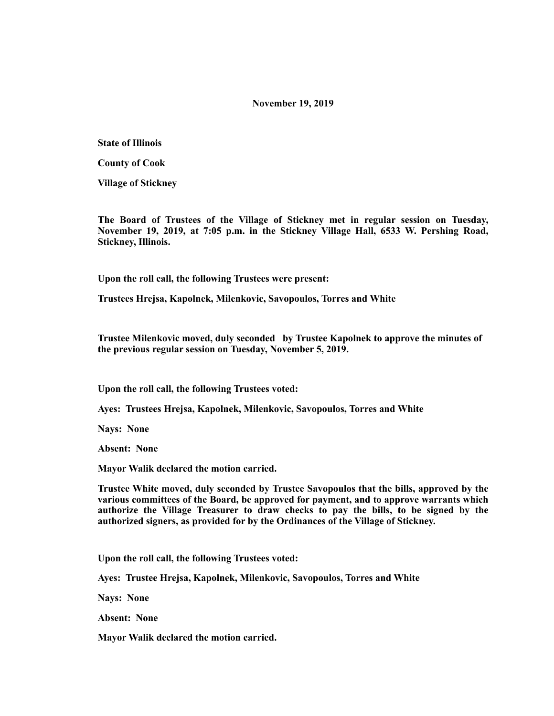### **November 19, 2019**

**State of Illinois** 

**County of Cook** 

**Village of Stickney** 

**The Board of Trustees of the Village of Stickney met in regular session on Tuesday, November 19, 2019, at 7:05 p.m. in the Stickney Village Hall, 6533 W. Pershing Road, Stickney, Illinois.** 

**Upon the roll call, the following Trustees were present:** 

**Trustees Hrejsa, Kapolnek, Milenkovic, Savopoulos, Torres and White** 

**Trustee Milenkovic moved, duly seconded by Trustee Kapolnek to approve the minutes of the previous regular session on Tuesday, November 5, 2019.** 

**Upon the roll call, the following Trustees voted:** 

**Ayes: Trustees Hrejsa, Kapolnek, Milenkovic, Savopoulos, Torres and White** 

**Nays: None** 

**Absent: None** 

**Mayor Walik declared the motion carried.** 

**Trustee White moved, duly seconded by Trustee Savopoulos that the bills, approved by the various committees of the Board, be approved for payment, and to approve warrants which authorize the Village Treasurer to draw checks to pay the bills, to be signed by the authorized signers, as provided for by the Ordinances of the Village of Stickney.** 

**Upon the roll call, the following Trustees voted:** 

**Ayes: Trustee Hrejsa, Kapolnek, Milenkovic, Savopoulos, Torres and White** 

**Nays: None** 

**Absent: None** 

**Mayor Walik declared the motion carried.**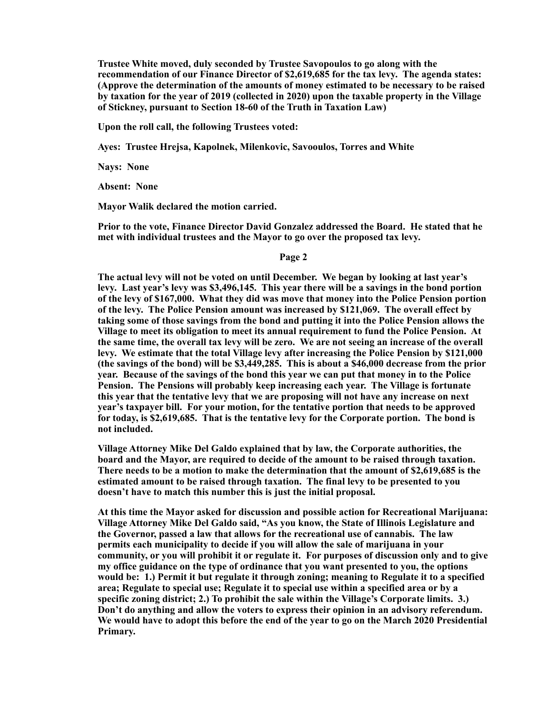**Trustee White moved, duly seconded by Trustee Savopoulos to go along with the recommendation of our Finance Director of \$2,619,685 for the tax levy. The agenda states: (Approve the determination of the amounts of money estimated to be necessary to be raised by taxation for the year of 2019 (collected in 2020) upon the taxable property in the Village of Stickney, pursuant to Section 18-60 of the Truth in Taxation Law)** 

**Upon the roll call, the following Trustees voted:** 

**Ayes: Trustee Hrejsa, Kapolnek, Milenkovic, Savooulos, Torres and White** 

**Nays: None** 

**Absent: None** 

**Mayor Walik declared the motion carried.** 

**Prior to the vote, Finance Director David Gonzalez addressed the Board. He stated that he met with individual trustees and the Mayor to go over the proposed tax levy.** 

#### **Page 2**

**The actual levy will not be voted on until December. We began by looking at last year's levy. Last year's levy was \$3,496,145. This year there will be a savings in the bond portion of the levy of \$167,000. What they did was move that money into the Police Pension portion of the levy. The Police Pension amount was increased by \$121,069. The overall effect by taking some of those savings from the bond and putting it into the Police Pension allows the Village to meet its obligation to meet its annual requirement to fund the Police Pension. At the same time, the overall tax levy will be zero. We are not seeing an increase of the overall levy. We estimate that the total Village levy after increasing the Police Pension by \$121,000 (the savings of the bond) will be \$3,449,285. This is about a \$46,000 decrease from the prior year. Because of the savings of the bond this year we can put that money in to the Police Pension. The Pensions will probably keep increasing each year. The Village is fortunate this year that the tentative levy that we are proposing will not have any increase on next year's taxpayer bill. For your motion, for the tentative portion that needs to be approved for today, is \$2,619,685. That is the tentative levy for the Corporate portion. The bond is not included.** 

**Village Attorney Mike Del Galdo explained that by law, the Corporate authorities, the board and the Mayor, are required to decide of the amount to be raised through taxation. There needs to be a motion to make the determination that the amount of \$2,619,685 is the estimated amount to be raised through taxation. The final levy to be presented to you doesn't have to match this number this is just the initial proposal.** 

**At this time the Mayor asked for discussion and possible action for Recreational Marijuana: Village Attorney Mike Del Galdo said, "As you know, the State of Illinois Legislature and the Governor, passed a law that allows for the recreational use of cannabis. The law permits each municipality to decide if you will allow the sale of marijuana in your community, or you will prohibit it or regulate it. For purposes of discussion only and to give my office guidance on the type of ordinance that you want presented to you, the options would be: 1.) Permit it but regulate it through zoning; meaning to Regulate it to a specified area; Regulate to special use; Regulate it to special use within a specified area or by a specific zoning district; 2.) To prohibit the sale within the Village's Corporate limits. 3.) Don't do anything and allow the voters to express their opinion in an advisory referendum. We would have to adopt this before the end of the year to go on the March 2020 Presidential Primary.**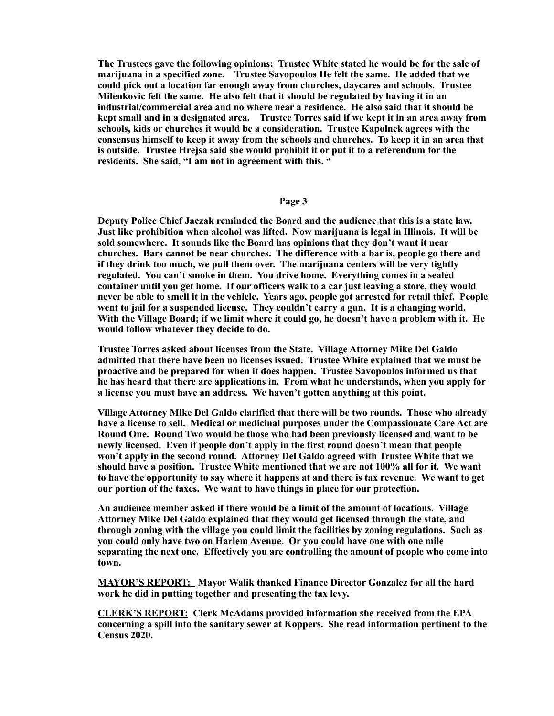**The Trustees gave the following opinions: Trustee White stated he would be for the sale of marijuana in a specified zone. Trustee Savopoulos He felt the same. He added that we could pick out a location far enough away from churches, daycares and schools. Trustee Milenkovic felt the same. He also felt that it should be regulated by having it in an industrial/commercial area and no where near a residence. He also said that it should be kept small and in a designated area. Trustee Torres said if we kept it in an area away from schools, kids or churches it would be a consideration. Trustee Kapolnek agrees with the consensus himself to keep it away from the schools and churches. To keep it in an area that is outside. Trustee Hrejsa said she would prohibit it or put it to a referendum for the residents. She said, "I am not in agreement with this. "** 

### **Page 3**

**Deputy Police Chief Jaczak reminded the Board and the audience that this is a state law. Just like prohibition when alcohol was lifted. Now marijuana is legal in Illinois. It will be sold somewhere. It sounds like the Board has opinions that they don't want it near churches. Bars cannot be near churches. The difference with a bar is, people go there and if they drink too much, we pull them over. The marijuana centers will be very tightly regulated. You can't smoke in them. You drive home. Everything comes in a sealed container until you get home. If our officers walk to a car just leaving a store, they would never be able to smell it in the vehicle. Years ago, people got arrested for retail thief. People went to jail for a suspended license. They couldn't carry a gun. It is a changing world. With the Village Board; if we limit where it could go, he doesn't have a problem with it. He would follow whatever they decide to do.** 

**Trustee Torres asked about licenses from the State. Village Attorney Mike Del Galdo admitted that there have been no licenses issued. Trustee White explained that we must be proactive and be prepared for when it does happen. Trustee Savopoulos informed us that he has heard that there are applications in. From what he understands, when you apply for a license you must have an address. We haven't gotten anything at this point.** 

**Village Attorney Mike Del Galdo clarified that there will be two rounds. Those who already have a license to sell. Medical or medicinal purposes under the Compassionate Care Act are Round One. Round Two would be those who had been previously licensed and want to be newly licensed. Even if people don't apply in the first round doesn't mean that people won't apply in the second round. Attorney Del Galdo agreed with Trustee White that we should have a position. Trustee White mentioned that we are not 100% all for it. We want to have the opportunity to say where it happens at and there is tax revenue. We want to get our portion of the taxes. We want to have things in place for our protection.** 

**An audience member asked if there would be a limit of the amount of locations. Village Attorney Mike Del Galdo explained that they would get licensed through the state, and through zoning with the village you could limit the facilities by zoning regulations. Such as you could only have two on Harlem Avenue. Or you could have one with one mile separating the next one. Effectively you are controlling the amount of people who come into town.** 

**MAYOR'S REPORT: Mayor Walik thanked Finance Director Gonzalez for all the hard work he did in putting together and presenting the tax levy.** 

**CLERK'S REPORT: Clerk McAdams provided information she received from the EPA concerning a spill into the sanitary sewer at Koppers. She read information pertinent to the Census 2020.**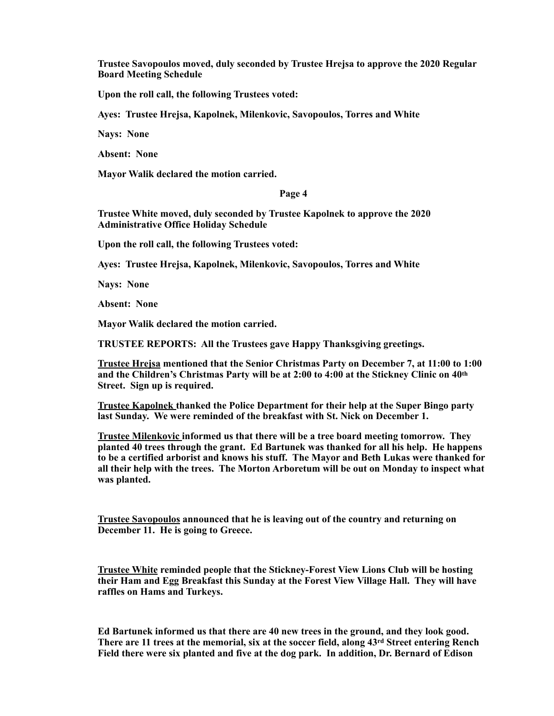**Trustee Savopoulos moved, duly seconded by Trustee Hrejsa to approve the 2020 Regular Board Meeting Schedule**

**Upon the roll call, the following Trustees voted:**

**Ayes: Trustee Hrejsa, Kapolnek, Milenkovic, Savopoulos, Torres and White**

**Nays: None** 

**Absent: None** 

**Mayor Walik declared the motion carried.** 

**Page 4** 

**Trustee White moved, duly seconded by Trustee Kapolnek to approve the 2020 Administrative Office Holiday Schedule** 

**Upon the roll call, the following Trustees voted:** 

**Ayes: Trustee Hrejsa, Kapolnek, Milenkovic, Savopoulos, Torres and White** 

**Nays: None** 

**Absent: None** 

**Mayor Walik declared the motion carried.** 

**TRUSTEE REPORTS: All the Trustees gave Happy Thanksgiving greetings.** 

**Trustee Hrejsa mentioned that the Senior Christmas Party on December 7, at 11:00 to 1:00 and the Children's Christmas Party will be at 2:00 to 4:00 at the Stickney Clinic on 40th Street. Sign up is required.** 

**Trustee Kapolnek thanked the Police Department for their help at the Super Bingo party last Sunday. We were reminded of the breakfast with St. Nick on December 1.** 

**Trustee Milenkovic informed us that there will be a tree board meeting tomorrow. They planted 40 trees through the grant. Ed Bartunek was thanked for all his help. He happens to be a certified arborist and knows his stuff. The Mayor and Beth Lukas were thanked for all their help with the trees. The Morton Arboretum will be out on Monday to inspect what was planted.** 

**Trustee Savopoulos announced that he is leaving out of the country and returning on December 11. He is going to Greece.** 

**Trustee White reminded people that the Stickney-Forest View Lions Club will be hosting their Ham and Egg Breakfast this Sunday at the Forest View Village Hall. They will have raffles on Hams and Turkeys.** 

**Ed Bartunek informed us that there are 40 new trees in the ground, and they look good. There are 11 trees at the memorial, six at the soccer field, along 43rd Street entering Rench Field there were six planted and five at the dog park. In addition, Dr. Bernard of Edison**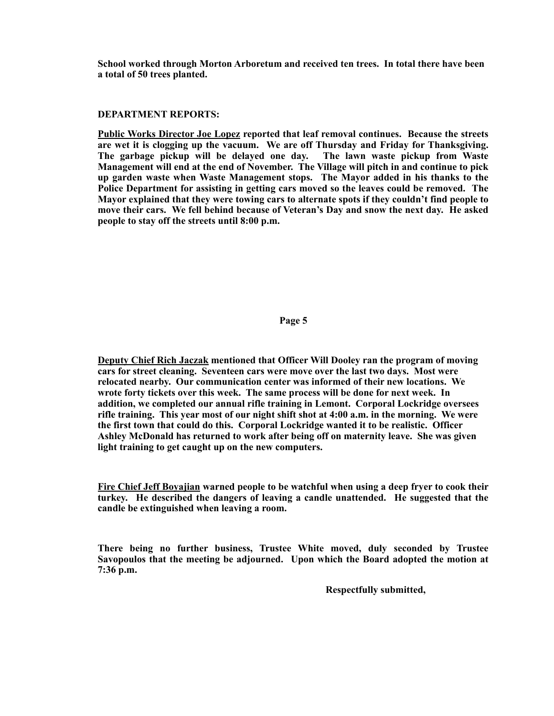**School worked through Morton Arboretum and received ten trees. In total there have been a total of 50 trees planted.** 

# **DEPARTMENT REPORTS:**

**Public Works Director Joe Lopez reported that leaf removal continues. Because the streets are wet it is clogging up the vacuum. We are off Thursday and Friday for Thanksgiving. The garbage pickup will be delayed one day. The lawn waste pickup from Waste Management will end at the end of November. The Village will pitch in and continue to pick up garden waste when Waste Management stops. The Mayor added in his thanks to the Police Department for assisting in getting cars moved so the leaves could be removed. The Mayor explained that they were towing cars to alternate spots if they couldn't find people to move their cars. We fell behind because of Veteran's Day and snow the next day. He asked people to stay off the streets until 8:00 p.m.** 

# **Page 5**

**Deputy Chief Rich Jaczak mentioned that Officer Will Dooley ran the program of moving cars for street cleaning. Seventeen cars were move over the last two days. Most were relocated nearby. Our communication center was informed of their new locations. We wrote forty tickets over this week. The same process will be done for next week. In addition, we completed our annual rifle training in Lemont. Corporal Lockridge oversees rifle training. This year most of our night shift shot at 4:00 a.m. in the morning. We were the first town that could do this. Corporal Lockridge wanted it to be realistic. Officer Ashley McDonald has returned to work after being off on maternity leave. She was given light training to get caught up on the new computers.** 

**Fire Chief Jeff Boyajian warned people to be watchful when using a deep fryer to cook their turkey. He described the dangers of leaving a candle unattended. He suggested that the candle be extinguished when leaving a room.** 

**There being no further business, Trustee White moved, duly seconded by Trustee Savopoulos that the meeting be adjourned. Upon which the Board adopted the motion at 7:36 p.m.** 

 **Respectfully submitted,**